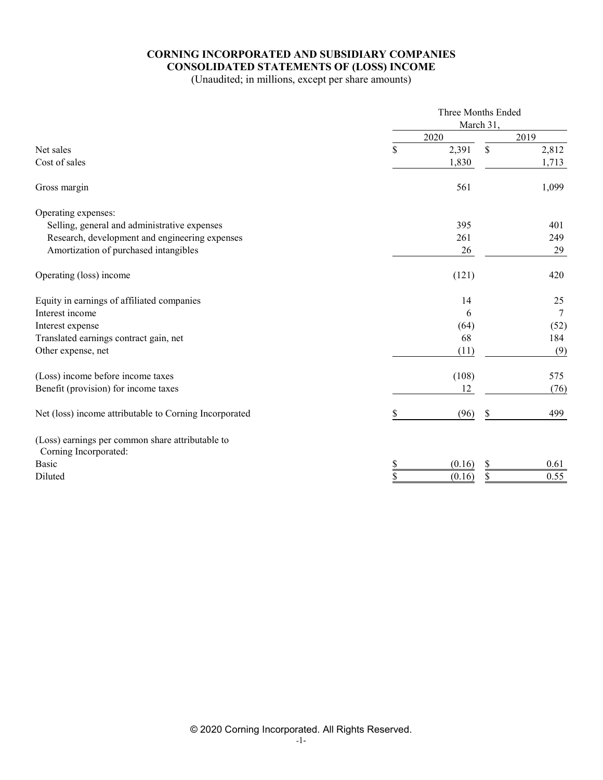# **CORNING INCORPORATED AND SUBSIDIARY COMPANIES CONSOLIDATED STATEMENTS OF (LOSS) INCOME**

(Unaudited; in millions, except per share amounts)

|                                                                           | Three Months Ended |           |        |
|---------------------------------------------------------------------------|--------------------|-----------|--------|
|                                                                           |                    | March 31, |        |
|                                                                           | 2020               |           | 2019   |
| Net sales                                                                 | \$<br>2,391        | \$        | 2,812  |
| Cost of sales                                                             | 1,830              |           | 1,713  |
| Gross margin                                                              | 561                |           | 1,099  |
| Operating expenses:                                                       |                    |           |        |
| Selling, general and administrative expenses                              | 395                |           | 401    |
| Research, development and engineering expenses                            | 261                |           | 249    |
| Amortization of purchased intangibles                                     | 26                 |           | 29     |
| Operating (loss) income                                                   | (121)              |           | 420    |
| Equity in earnings of affiliated companies                                | 14                 |           | 25     |
| Interest income                                                           | 6                  |           | $\tau$ |
| Interest expense                                                          | (64)               |           | (52)   |
| Translated earnings contract gain, net                                    | 68                 |           | 184    |
| Other expense, net                                                        | (11)               |           | (9)    |
| (Loss) income before income taxes                                         | (108)              |           | 575    |
| Benefit (provision) for income taxes                                      | 12                 |           | (76)   |
| Net (loss) income attributable to Corning Incorporated                    | \$<br>(96)         | \$        | 499    |
| (Loss) earnings per common share attributable to<br>Corning Incorporated: |                    |           |        |
| Basic                                                                     | \$<br>(0.16)       | \$        | 0.61   |
| Diluted                                                                   | \$<br>(0.16)       | \$        | 0.55   |
|                                                                           |                    |           |        |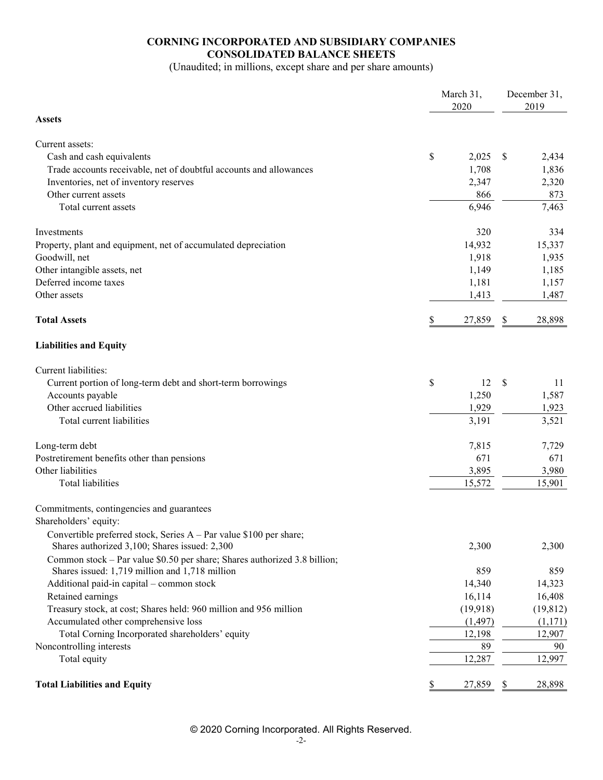# **CORNING INCORPORATED AND SUBSIDIARY COMPANIES CONSOLIDATED BALANCE SHEETS**

(Unaudited; in millions, except share and per share amounts)

|                                                                                                                             | March 31,<br>2020 | December 31,<br>2019 |           |  |
|-----------------------------------------------------------------------------------------------------------------------------|-------------------|----------------------|-----------|--|
| <b>Assets</b>                                                                                                               |                   |                      |           |  |
| Current assets:                                                                                                             |                   |                      |           |  |
| Cash and cash equivalents                                                                                                   | \$<br>2,025       | <sup>\$</sup>        | 2,434     |  |
| Trade accounts receivable, net of doubtful accounts and allowances                                                          | 1,708             |                      | 1,836     |  |
| Inventories, net of inventory reserves                                                                                      | 2,347             |                      | 2,320     |  |
| Other current assets                                                                                                        | 866               |                      | 873       |  |
| Total current assets                                                                                                        | 6,946             |                      | 7,463     |  |
| Investments                                                                                                                 | 320               |                      | 334       |  |
| Property, plant and equipment, net of accumulated depreciation                                                              | 14,932            |                      | 15,337    |  |
| Goodwill, net                                                                                                               | 1,918             |                      | 1,935     |  |
| Other intangible assets, net                                                                                                | 1,149             |                      | 1,185     |  |
| Deferred income taxes                                                                                                       | 1,181             |                      | 1,157     |  |
| Other assets                                                                                                                | 1,413             |                      | 1,487     |  |
| <b>Total Assets</b>                                                                                                         | \$<br>27,859      | \$                   | 28,898    |  |
| <b>Liabilities and Equity</b>                                                                                               |                   |                      |           |  |
| Current liabilities:                                                                                                        |                   |                      |           |  |
| Current portion of long-term debt and short-term borrowings                                                                 | \$<br>12          | $\mathcal{S}$        | 11        |  |
| Accounts payable                                                                                                            | 1,250             |                      | 1,587     |  |
| Other accrued liabilities                                                                                                   | 1,929             |                      | 1,923     |  |
| Total current liabilities                                                                                                   | 3,191             |                      | 3,521     |  |
| Long-term debt                                                                                                              | 7,815             |                      | 7,729     |  |
| Postretirement benefits other than pensions                                                                                 | 671               |                      | 671       |  |
| Other liabilities                                                                                                           | 3,895             |                      | 3,980     |  |
| <b>Total liabilities</b>                                                                                                    | 15,572            |                      | 15,901    |  |
| Commitments, contingencies and guarantees                                                                                   |                   |                      |           |  |
| Shareholders' equity:                                                                                                       |                   |                      |           |  |
| Convertible preferred stock, Series A - Par value \$100 per share;<br>Shares authorized 3,100; Shares issued: 2,300         | 2,300             |                      | 2,300     |  |
|                                                                                                                             |                   |                      |           |  |
| Common stock – Par value \$0.50 per share; Shares authorized 3.8 billion;<br>Shares issued: 1,719 million and 1,718 million | 859               |                      | 859       |  |
| Additional paid-in capital - common stock                                                                                   | 14,340            |                      | 14,323    |  |
| Retained earnings                                                                                                           | 16,114            |                      | 16,408    |  |
| Treasury stock, at cost; Shares held: 960 million and 956 million                                                           | (19,918)          |                      | (19, 812) |  |
| Accumulated other comprehensive loss                                                                                        | (1, 497)          |                      | (1,171)   |  |
| Total Corning Incorporated shareholders' equity                                                                             | 12,198            |                      | 12,907    |  |
| Noncontrolling interests                                                                                                    | 89                |                      | 90        |  |
| Total equity                                                                                                                | 12,287            |                      | 12,997    |  |
| <b>Total Liabilities and Equity</b>                                                                                         | \$<br>27,859      | \$                   | 28,898    |  |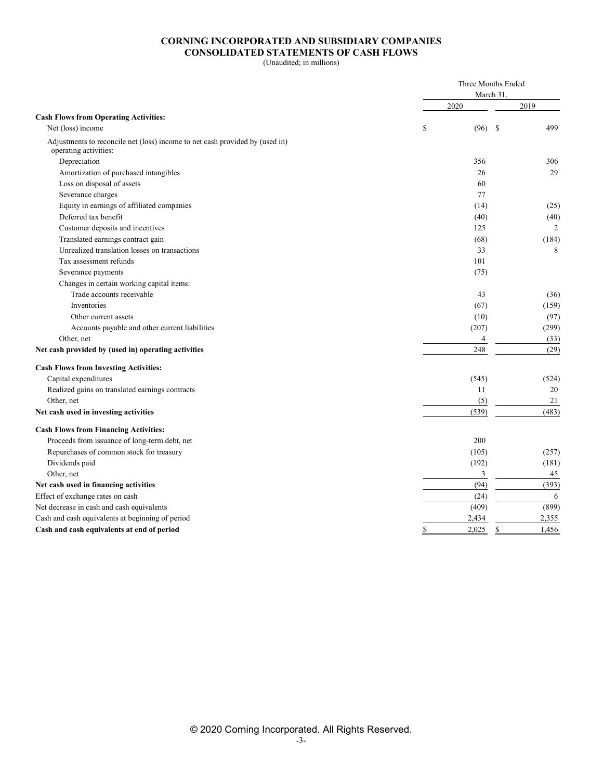### **CORNING INCORPORATED AND SUBSIDIARY COMPANIES CONSOLIDATED STATEMENTS OF CASH FLOWS**

(Unaudited; in millions)

|                                                                                                       |             | Three Months Ended<br>March 31, |
|-------------------------------------------------------------------------------------------------------|-------------|---------------------------------|
|                                                                                                       | 2020        | 2019                            |
| <b>Cash Flows from Operating Activities:</b>                                                          |             |                                 |
| Net (loss) income                                                                                     | \$<br>(96)  | <b>S</b><br>499                 |
| Adjustments to reconcile net (loss) income to net cash provided by (used in)<br>operating activities: |             |                                 |
| Depreciation                                                                                          | 356         | 306                             |
| Amortization of purchased intangibles                                                                 | 26          | 29                              |
| Loss on disposal of assets                                                                            | 60          |                                 |
| Severance charges                                                                                     | 77          |                                 |
| Equity in earnings of affiliated companies                                                            | (14)        | (25)                            |
| Deferred tax benefit                                                                                  | (40)        | (40)                            |
| Customer deposits and incentives                                                                      | 125         | $\overline{2}$                  |
| Translated earnings contract gain                                                                     | (68)        | (184)                           |
| Unrealized translation losses on transactions                                                         | 33          | 8                               |
| Tax assessment refunds                                                                                | 101         |                                 |
| Severance payments                                                                                    | (75)        |                                 |
| Changes in certain working capital items:                                                             |             |                                 |
| Trade accounts receivable                                                                             | 43          | (36)                            |
| Inventories                                                                                           | (67)        | (159)                           |
| Other current assets                                                                                  | (10)        | (97)                            |
| Accounts payable and other current liabilities                                                        | (207)       | (299)                           |
| Other, net                                                                                            |             | (33)<br>$\overline{4}$          |
| Net cash provided by (used in) operating activities                                                   | 248         | (29)                            |
| <b>Cash Flows from Investing Activities:</b>                                                          |             |                                 |
| Capital expenditures                                                                                  | (545)       | (524)                           |
| Realized gains on translated earnings contracts                                                       | 11          | 20                              |
| Other, net                                                                                            | (5)         | 21                              |
| Net cash used in investing activities                                                                 | (539)       | (483)                           |
| <b>Cash Flows from Financing Activities:</b>                                                          |             |                                 |
| Proceeds from issuance of long-term debt, net                                                         | 200         |                                 |
| Repurchases of common stock for treasury                                                              | (105)       | (257)                           |
| Dividends paid                                                                                        | (192)       | (181)                           |
| Other, net                                                                                            |             | 3<br>45                         |
| Net cash used in financing activities                                                                 | (94)        | (393)                           |
| Effect of exchange rates on cash                                                                      | (24)        | 6                               |
| Net decrease in cash and cash equivalents                                                             | (409)       | (899)                           |
| Cash and cash equivalents at beginning of period                                                      | 2,434       | 2,355                           |
| Cash and cash equivalents at end of period                                                            | \$<br>2,025 | \$<br>1,456                     |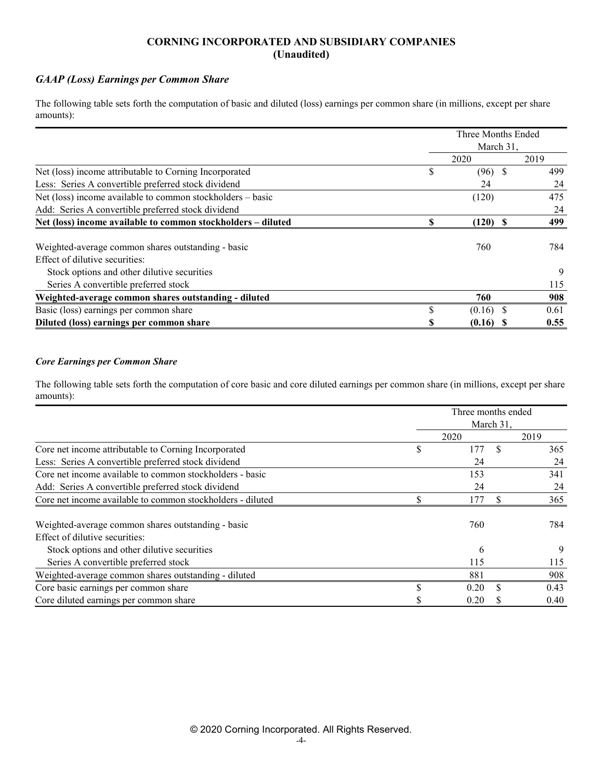## **CORNING INCORPORATED AND SUBSIDIARY COMPANIES (Unaudited)**

# *GAAP (Loss) Earnings per Common Share*

The following table sets forth the computation of basic and diluted (loss) earnings per common share (in millions, except per share amounts):

|                                                              | Three Months Ended |      |
|--------------------------------------------------------------|--------------------|------|
|                                                              | March 31.          |      |
|                                                              | 2020               | 2019 |
| Net (loss) income attributable to Corning Incorporated       | \$<br>$(96)$ \$    | 499  |
| Less: Series A convertible preferred stock dividend          | 24                 | 24   |
| Net (loss) income available to common stockholders – basic   | (120)              | 475  |
| Add: Series A convertible preferred stock dividend           |                    | 24   |
| Net (loss) income available to common stockholders - diluted | $(120)$ \$         | 499  |
|                                                              |                    |      |
| Weighted-average common shares outstanding - basic           | 760                | 784  |
| Effect of dilutive securities:                               |                    |      |
| Stock options and other dilutive securities                  |                    | 9    |
| Series A convertible preferred stock                         |                    | 115  |
| Weighted-average common shares outstanding - diluted         | 760                | 908  |
| Basic (loss) earnings per common share                       | \$<br>$(0.16)$ \$  | 0.61 |
| Diluted (loss) earnings per common share                     | $(0.16)$ \$        | 0.55 |

### *Core Earnings per Common Share*

The following table sets forth the computation of core basic and core diluted earnings per common share (in millions, except per share amounts):

|                                                            | Three months ended |           |      |
|------------------------------------------------------------|--------------------|-----------|------|
|                                                            |                    | March 31, |      |
|                                                            | 2020               |           | 2019 |
| Core net income attributable to Corning Incorporated       | \$<br>177          | \$.       | 365  |
| Less: Series A convertible preferred stock dividend        | 24                 |           | 24   |
| Core net income available to common stockholders - basic   | 153                |           | 341  |
| Add: Series A convertible preferred stock dividend         | 24                 |           | 24   |
| Core net income available to common stockholders - diluted | 177                |           | 365  |
| Weighted-average common shares outstanding - basic         | 760                |           | 784  |
| Effect of dilutive securities:                             |                    |           |      |
| Stock options and other dilutive securities                | 6                  |           | 9    |
| Series A convertible preferred stock                       | 115                |           | 115  |
| Weighted-average common shares outstanding - diluted       | 881                |           | 908  |
| Core basic earnings per common share                       | 0.20               |           | 0.43 |
| Core diluted earnings per common share                     | 0.20               |           | 0.40 |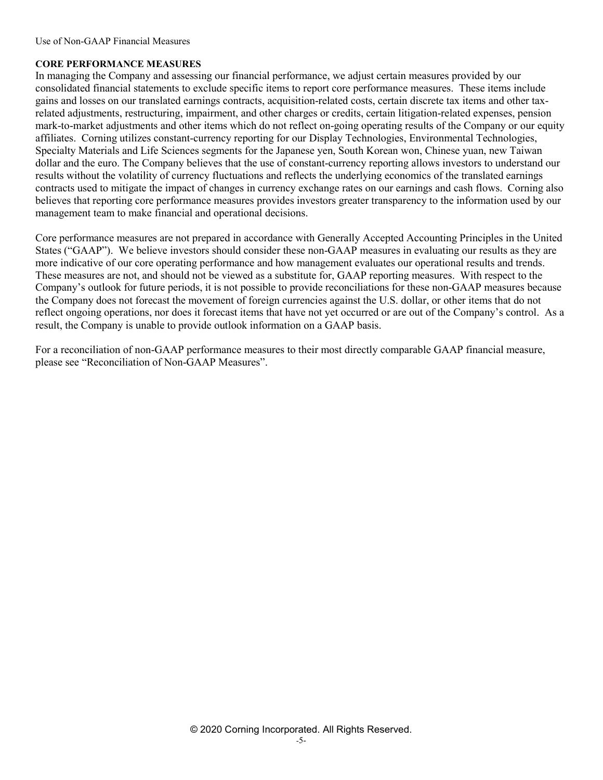## **CORE PERFORMANCE MEASURES**

In managing the Company and assessing our financial performance, we adjust certain measures provided by our consolidated financial statements to exclude specific items to report core performance measures. These items include gains and losses on our translated earnings contracts, acquisition-related costs, certain discrete tax items and other taxrelated adjustments, restructuring, impairment, and other charges or credits, certain litigation-related expenses, pension mark-to-market adjustments and other items which do not reflect on-going operating results of the Company or our equity affiliates. Corning utilizes constant-currency reporting for our Display Technologies, Environmental Technologies, Specialty Materials and Life Sciences segments for the Japanese yen, South Korean won, Chinese yuan, new Taiwan dollar and the euro. The Company believes that the use of constant-currency reporting allows investors to understand our results without the volatility of currency fluctuations and reflects the underlying economics of the translated earnings contracts used to mitigate the impact of changes in currency exchange rates on our earnings and cash flows. Corning also believes that reporting core performance measures provides investors greater transparency to the information used by our management team to make financial and operational decisions.

Core performance measures are not prepared in accordance with Generally Accepted Accounting Principles in the United States ("GAAP"). We believe investors should consider these non-GAAP measures in evaluating our results as they are more indicative of our core operating performance and how management evaluates our operational results and trends. These measures are not, and should not be viewed as a substitute for, GAAP reporting measures. With respect to the Company's outlook for future periods, it is not possible to provide reconciliations for these non-GAAP measures because the Company does not forecast the movement of foreign currencies against the U.S. dollar, or other items that do not reflect ongoing operations, nor does it forecast items that have not yet occurred or are out of the Company's control. As a result, the Company is unable to provide outlook information on a GAAP basis.

For a reconciliation of non-GAAP performance measures to their most directly comparable GAAP financial measure, please see "Reconciliation of Non-GAAP Measures".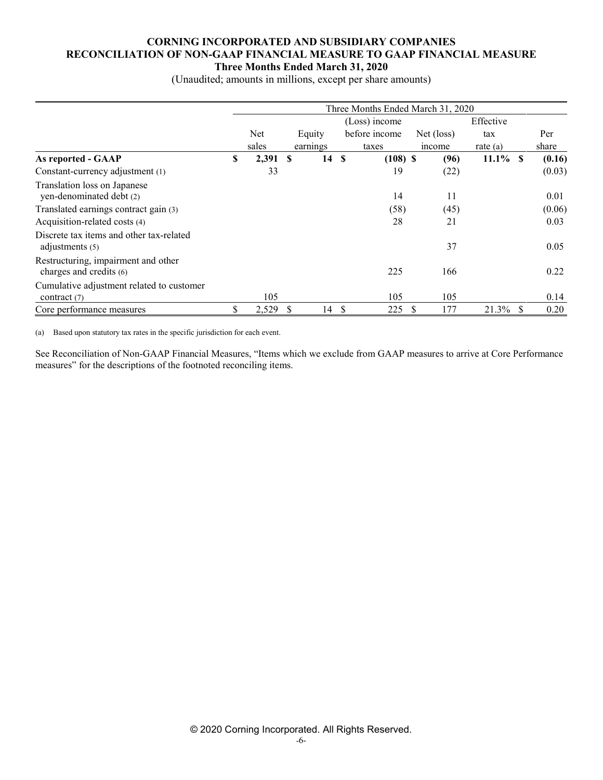## **CORNING INCORPORATED AND SUBSIDIARY COMPANIES RECONCILIATION OF NON-GAAP FINANCIAL MEASURE TO GAAP FINANCIAL MEASURE Three Months Ended March 31, 2020**

(Unaudited; amounts in millions, except per share amounts)

|                                                                | Three Months Ended March 31, 2020 |       |    |          |               |               |           |            |             |    |        |
|----------------------------------------------------------------|-----------------------------------|-------|----|----------|---------------|---------------|-----------|------------|-------------|----|--------|
|                                                                | (Loss) income                     |       |    |          |               |               | Effective |            |             |    |        |
|                                                                |                                   | Net   |    | Equity   |               | before income |           | Net (loss) | tax         |    | Per    |
|                                                                |                                   | sales |    | earnings |               | taxes         |           | income     | rate $(a)$  |    | share  |
| As reported - GAAP                                             | S                                 | 2,391 | -S | 14S      |               | $(108)$ \$    |           | (96)       | $11.1\%$ \$ |    | (0.16) |
| Constant-currency adjustment (1)                               |                                   | 33    |    |          |               | 19            |           | (22)       |             |    | (0.03) |
| Translation loss on Japanese<br>yen-denominated debt (2)       |                                   |       |    |          |               | 14            |           | 11         |             |    | 0.01   |
| Translated earnings contract gain (3)                          |                                   |       |    |          |               | (58)          |           | (45)       |             |    | (0.06) |
| Acquisition-related costs (4)                                  |                                   |       |    |          |               | 28            |           | 21         |             |    | 0.03   |
| Discrete tax items and other tax-related<br>adjustments $(5)$  |                                   |       |    |          |               |               |           | 37         |             |    | 0.05   |
| Restructuring, impairment and other<br>charges and credits (6) |                                   |       |    |          |               | 225           |           | 166        |             |    | 0.22   |
| Cumulative adjustment related to customer<br>contract $(7)$    |                                   | 105   |    |          |               | 105           |           | 105        |             |    | 0.14   |
| Core performance measures                                      | \$                                | 2,529 | -S | 14       | <sup>\$</sup> | 225           |           | 177        | 21.3%       | -S | 0.20   |

(a) Based upon statutory tax rates in the specific jurisdiction for each event.

See Reconciliation of Non-GAAP Financial Measures, "Items which we exclude from GAAP measures to arrive at Core Performance measures" for the descriptions of the footnoted reconciling items.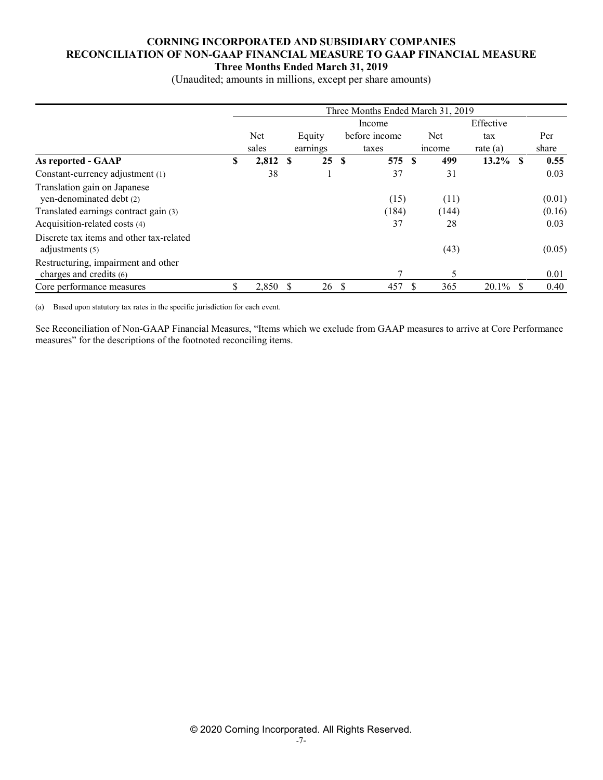## **CORNING INCORPORATED AND SUBSIDIARY COMPANIES RECONCILIATION OF NON-GAAP FINANCIAL MEASURE TO GAAP FINANCIAL MEASURE Three Months Ended March 31, 2019**

(Unaudited; amounts in millions, except per share amounts)

|                                                                | Three Months Ended March 31, 2019 |       |          |          |               |               |  |       |             |    |        |
|----------------------------------------------------------------|-----------------------------------|-------|----------|----------|---------------|---------------|--|-------|-------------|----|--------|
|                                                                |                                   |       |          |          |               | Income        |  |       | Effective   |    |        |
|                                                                |                                   | Net   |          | Equity   |               | before income |  | Net   | tax         |    | Per    |
|                                                                |                                   | sales |          | earnings |               | taxes         |  | mcome | rate $(a)$  |    | share  |
| As reported - GAAP                                             | \$                                | 2,812 | <b>S</b> | 25       | <b>S</b>      | 575 S         |  | 499   | $13.2\%$ \$ |    | 0.55   |
| Constant-currency adjustment (1)                               |                                   | 38    |          |          |               | 37            |  | 31    |             |    | 0.03   |
| Translation gain on Japanese<br>yen-denominated debt (2)       |                                   |       |          |          |               | (15)          |  | (11)  |             |    | (0.01) |
| Translated earnings contract gain (3)                          |                                   |       |          |          |               | (184)         |  | (144) |             |    | (0.16) |
| Acquisition-related costs (4)                                  |                                   |       |          |          |               | 37            |  | 28    |             |    | 0.03   |
| Discrete tax items and other tax-related<br>adjustments $(5)$  |                                   |       |          |          |               |               |  | (43)  |             |    | (0.05) |
| Restructuring, impairment and other<br>charges and credits (6) |                                   |       |          |          |               |               |  | 5     |             |    | 0.01   |
| Core performance measures                                      | \$                                | 2,850 | - \$     | 26       | <sup>\$</sup> | 457           |  | 365   | 20.1%       | S. | 0.40   |

(a) Based upon statutory tax rates in the specific jurisdiction for each event.

See Reconciliation of Non-GAAP Financial Measures, "Items which we exclude from GAAP measures to arrive at Core Performance measures" for the descriptions of the footnoted reconciling items.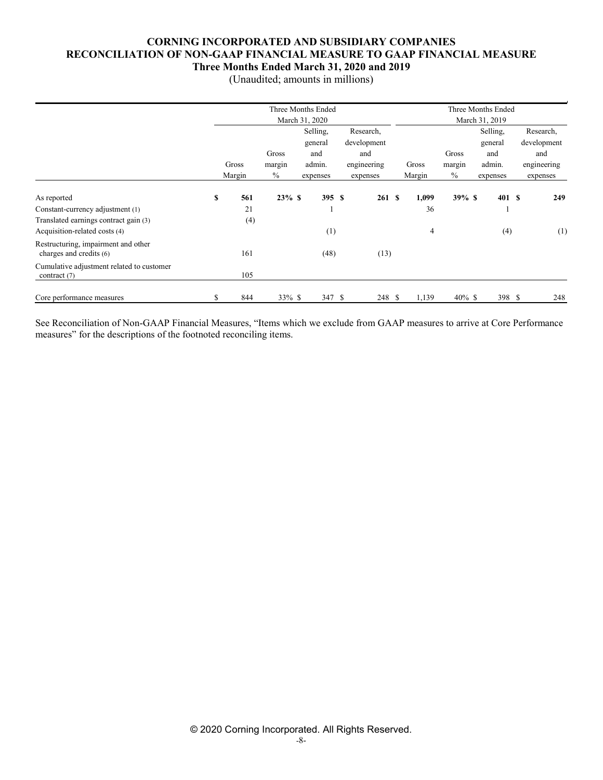## **CORNING INCORPORATED AND SUBSIDIARY COMPANIES RECONCILIATION OF NON-GAAP FINANCIAL MEASURE TO GAAP FINANCIAL MEASURE Three Months Ended March 31, 2020 and 2019**

(Unaudited; amounts in millions)

|                                                                |           |               | Three Months Ended |             |        |           | Three Months Ended |             |
|----------------------------------------------------------------|-----------|---------------|--------------------|-------------|--------|-----------|--------------------|-------------|
|                                                                |           |               | March 31, 2020     |             |        |           | March 31, 2019     |             |
|                                                                |           |               | Selling,           | Research,   |        |           | Selling,           | Research,   |
|                                                                |           |               | general            | development |        |           | general            | development |
|                                                                |           | Gross         | and                | and         |        | Gross     | and                | and         |
|                                                                | Gross     | margin        | admin.             | engineering | Gross  | margin    | admin.             | engineering |
|                                                                | Margin    | $\frac{0}{0}$ | expenses           | expenses    | Margin | $\%$      | expenses           | expenses    |
| As reported                                                    | \$<br>561 | $23\%$ \$     | 395S               | 261S        | 1,099  | $39\% S$  | 401S               | 249         |
| Constant-currency adjustment (1)                               | 21        |               |                    |             | 36     |           | и                  |             |
| Translated earnings contract gain (3)                          | (4)       |               |                    |             |        |           |                    |             |
| Acquisition-related costs (4)                                  |           |               | (1)                |             | 4      |           | (4)                | (1)         |
| Restructuring, impairment and other<br>charges and credits (6) | 161       |               | (48)               | (13)        |        |           |                    |             |
| Cumulative adjustment related to customer<br>contract (7)      | 105       |               |                    |             |        |           |                    |             |
| Core performance measures                                      | 844       | 33% \$        | 347 \$             | 248 \$      | 1,139  | $40\%$ \$ | 398 S              | 248         |

See Reconciliation of Non-GAAP Financial Measures, "Items which we exclude from GAAP measures to arrive at Core Performance measures" for the descriptions of the footnoted reconciling items.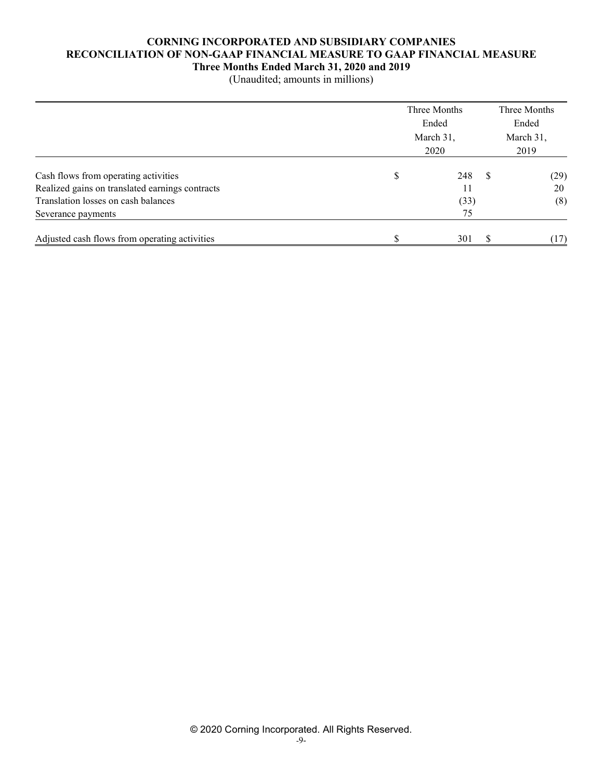#### **CORNING INCORPORATED AND SUBSIDIARY COMPANIES RECONCILIATION OF NON-GAAP FINANCIAL MEASURE TO GAAP FINANCIAL MEASURE Three Months Ended March 31, 2020 and 2019**

(Unaudited; amounts in millions)

|                                                 | Three Months<br>Ended<br>March 31, |      |          | Three Months<br>Ended |
|-------------------------------------------------|------------------------------------|------|----------|-----------------------|
|                                                 |                                    | 2020 |          | March 31,<br>2019     |
| Cash flows from operating activities            | \$                                 | 248  | <b>S</b> | (29)                  |
| Realized gains on translated earnings contracts |                                    | 11   |          | 20                    |
| Translation losses on cash balances             |                                    | (33) |          | (8)                   |
| Severance payments                              |                                    | 75   |          |                       |
| Adjusted cash flows from operating activities   |                                    | 301  | -S       | (17)                  |